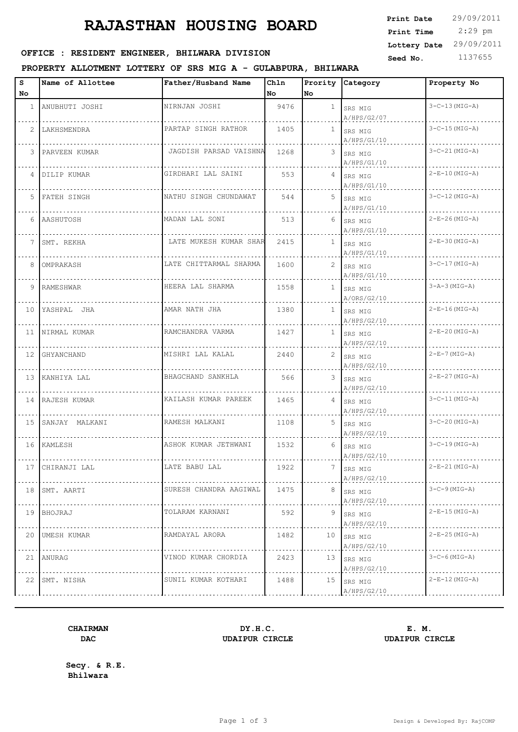# **RAJASTHAN HOUSING BOARD**

| <b>Print Date</b> | 29/09/2011 |
|-------------------|------------|
| Print Time        | $2:29$ pm  |
| Lottery Date      | 29/09/2011 |
| Seed No.          | 1137655    |
|                   |            |

#### OFFICE : RESIDENT ENGINEER, BHILWARA DIVISION

#### **PROPERTY ALLOTMENT LOTTERY OF SRS MIG A - GULABPURA, BHILWARA**

| s<br>No               | Name of Allottee  | Father/Husband Name    | Chln<br>No. | No              | Prority Category           | Property No          |
|-----------------------|-------------------|------------------------|-------------|-----------------|----------------------------|----------------------|
| $\mathbf{1}$          | ANUBHUTI JOSHI    | NIRNJAN JOSHI          | 9476        | $\mathbf{1}$    | SRS MIG<br>A/HPS/G2/07     | $3 - C - 13$ (MIG-A) |
| $\mathbf{2}^{\prime}$ | LAKHSMENDRA       | PARTAP SINGH RATHOR    | 1405        | $\mathbf{1}$    | SRS MIG<br>A/HPS/G1/10     | $3 - C - 15$ (MIG-A) |
| 3                     | PARVEEN KUMAR     | JAGDISH PARSAD VAISHNA | 1268        |                 | 3 SRS MIG<br>A/HPS/G1/10   | $3 - C - 21$ (MIG-A) |
| 4                     | DILIP KUMAR       | GIRDHARI LAL SAINI     | 553         |                 | 4 SRS MIG<br>A/HPS/G1/10   | $2-E-10(MIG-A)$      |
| 5                     | FATEH SINGH       | NATHU SINGH CHUNDAWAT  | 544         | 5               | SRS MIG<br>A/HPS/G1/10     | $3 - C - 12$ (MIG-A) |
|                       | 6 AASHUTOSH       | MADAN LAL SONI         | 513         |                 | 6 SRS MIG<br>A/HPS/G1/10   | $2-E-26$ (MIG-A)     |
| $7\phantom{.0}$       | SMT. REKHA        | LATE MUKESH KUMAR SHAR | 2415        | $\mathbf{1}$    | SRS MIG<br>A/HPS/G1/10     | $2-E-30$ (MIG-A)     |
| 8                     | OMPRAKASH         | LATE CHITTARMAL SHARMA | 1600        | $\mathbf{2}$    | SRS MIG<br>A/HPS/G1/10     | $3 - C - 17$ (MIG-A) |
| 9                     | RAMESHWAR         | HEERA LAL SHARMA       | 1558        | $\mathbf{1}$    | SRS MIG<br>A/ORS/G2/10     | $3 - A - 3$ (MIG-A)  |
|                       | 10 YASHPAL JHA    | AMAR NATH JHA          | 1380        | $\mathbf{1}$    | SRS MIG<br>A/HPS/G2/10     | $2-E-16$ (MIG-A)     |
|                       | 11 NIRMAL KUMAR   | RAMCHANDRA VARMA       | 1427        |                 | $1$ SRS MIG<br>A/HPS/G2/10 | $2-E-20(MIG-A)$      |
|                       | 12 GHYANCHAND     | MISHRI LAL KALAL       | 2440        | 2               | SRS MIG<br>A/HPS/G2/10     | $2-E-7$ (MIG-A)      |
| 13                    | KANHIYA LAL       | BHAGCHAND SANKHLA      | 566         | 3               | SRS MIG<br>A/HPS/G2/10     | $2-E-27$ (MIG-A)     |
|                       | 14 RAJESH KUMAR   | KAILASH KUMAR PAREEK   | 1465        | 4               | SRS MIG<br>A/HPS/G2/10     | $3 - C - 11$ (MIG-A) |
|                       | 15 SANJAY MALKANI | RAMESH MALKANI         | 1108        | 5               | SRS MIG<br>A/HPS/G2/10     | $3 - C - 20$ (MIG-A) |
|                       | 16 KAMLESH        | ASHOK KUMAR JETHWANI   | 1532        | 6               | SRS MIG<br>A/HPS/G2/10     | $3 - C - 19$ (MIG-A) |
| 17                    | CHIRANJI LAL      | LATE BABU LAL          | 1922        |                 | SRS MIG<br>A/HPS/G2/10     | 2-E-21 (MIG-A)       |
|                       | 18 SMT. AARTI     | SURESH CHANDRA AAGIWAL | 1475        | 8               | SRS MIG<br>A/HPS/G2/10     | $3-C-9$ (MIG-A)      |
|                       | 19   BHOJRAJ      | TOLARAM KARNANI        | 592         | 9               | SRS MIG<br>A/HPS/G2/10     | $2-E-15$ (MIG-A)     |
|                       | 20 UMESH KUMAR    | RAMDAYAL ARORA         | 1482        | 10 <sup>1</sup> | SRS MIG<br>A/HPS/G2/10     | $2-E-25$ (MIG-A)     |
| 21                    | ANURAG            | VINOD KUMAR CHORDIA    | 2423        | 13              | SRS MIG<br>A/HPS/G2/10     | $3 - C - 6$ (MIG-A)  |
| 22                    | SMT. NISHA        | SUNIL KUMAR KOTHARI    | 1488        | 15              | SRS MIG<br>A/HPS/G2/10     | $2-E-12$ (MIG-A)     |
|                       |                   |                        |             |                 |                            |                      |

## **DAC UDAIPUR CIRCLE UDAIPUR CIRCLE**

**CHAIRMAN DY.H.C. E. M.**

**Secy. & R.E. Bhilwara**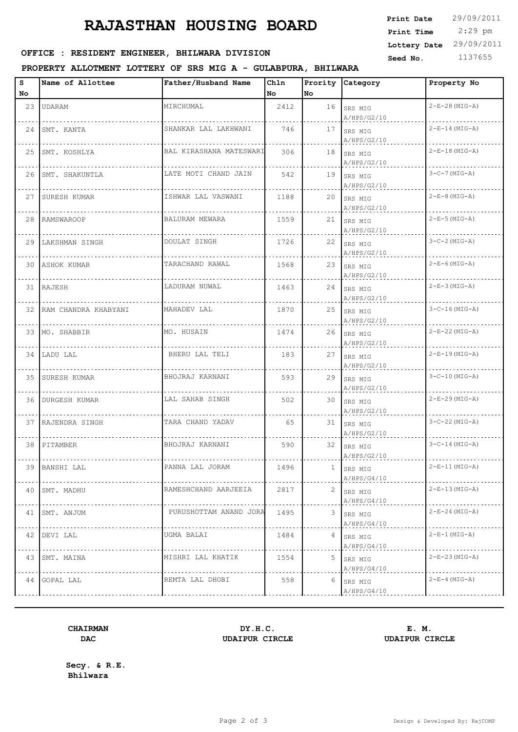# **RAJASTHAN HOUSING BOARD**

| <b>Print Date</b> | 29/09/2011 |
|-------------------|------------|
| Print Time        | $2:29$ pm  |
| Lottery Date      | 29/09/2011 |
| Seed No.          | 1137655    |
|                   |            |

#### OFFICE : RESIDENT ENGINEER, BHILWARA DIVISION

#### **PROPERTY ALLOTMENT LOTTERY OF SRS MIG A - GULABPURA, BHILWARA**

| s   | Name of Allottee        | Father/Husband Name     | Ch1n |    | Prority Category             | Property No            |
|-----|-------------------------|-------------------------|------|----|------------------------------|------------------------|
| No. |                         |                         | No l | No |                              |                        |
| 23  | <b>UDARAM</b>           | MIRCHUMAL               | 2412 |    | $16$ SRS MIG<br>A/HPS/G2/10  | $2-E-28$ (MIG-A)       |
|     | 24 SMT. KANTA           | SHANKAR LAL LAKHWANI    | 746  |    | 17 SRS MIG<br>A/HPS/G2/10    | $2-E-14$ (MIG-A)       |
|     | 25 SMT. KOSHLYA         | BAL KIRASHANA MATESWARI | 306  |    | 18 SRS MIG<br>A/HPS/G2/10    | $2-E-18(MIG-A)$        |
|     | 26 SMT. SHAKUNTLA       | LATE MOTI CHAND JAIN    | 542  |    | $19$ SRS MIG<br>A/HPS/G2/10  | $3-C-7$ (MIG-A)        |
|     | 27 SURESH KUMAR         | ISHWAR LAL VASWANI      | 1188 |    | $20$ SRS MIG<br>A/HPS/G2/10  | $2-E-8$ (MIG-A)        |
|     | 28 RAMSWAROOP           | BALURAM MEWARA          | 1559 |    | $21$ SRS MIG<br>A/HPS/G2/10  | $2-E-5$ (MIG-A)        |
|     | 29 LAKSHMAN SINGH       | DOULAT SINGH            | 1726 |    | $22$ SRS MIG<br>A/HPS/G2/10  | $3-C-2$ (MIG-A)        |
|     | 30 ASHOK KUMAR          | TARACHAND RAWAL         | 1568 |    | $23$ SRS MIG<br>A/HPS/G2/10  | $2-E-6$ (MIG-A)        |
|     | 31 RAJESH               | LADURAM NUWAL           | 1463 |    | $24$ SRS MIG<br>A/HPS/G2/10  | $2-E-3$ (MIG-A)        |
|     | 32 RAM CHANDRA KHABYANI | MAHADEV LAL             | 1870 |    | $25$ SRS MIG<br>A/HPS/G2/10  | $3 - C - 16$ (MIG-A)   |
|     | 33 MO. SHABBIR          | MO. HUSAIN              | 1474 |    | $26$ SRS MIG<br>A/HPS/G2/10  | $2-E-22$ (MIG-A)       |
|     | 34 LADU LAL             | BHERU LAL TELI          | 183  |    | 27 SRS MIG<br>$A/$ HPS/G2/10 | $2-E-19$ (MIG-A)       |
|     | 35 SURESH KUMAR         | BHOJRAJ KARNANI         | 593  |    | $29$ SRS MIG<br>A/HPS/G2/10  | $3 - C - 10$ (MIG-A)   |
|     | 36 DURGESH KUMAR        | LAL SAHAB SINGH         | 502  |    | 30 SRS MIG<br>A/HPS/G2/10    | $2-E-29$ (MIG-A)       |
|     | 37 RAJENDRA SINGH       | TARA CHAND YADAV        | 65   |    | 31 SRS MIG<br>A/HPS/G2/10    | $3-C-22$ (MIG-A)       |
|     | 38 PITAMBER             | BHOJRAJ KARNANI         | 590  |    | 32 SRS MIG<br>A/HPS/G2/10    | $3 - C - 14 (MIG - A)$ |
|     | 39 BANSHI LAL           | PANNA LAL JORAM         | 1496 |    | SRS MIG<br>A/HPS/G4/10       | $2-E-11(MIG-A)$        |
|     | 40 SMT. MADHU           | RAMESHCHAND AARJEEIA    | 2817 |    | $2$ SRS MIG<br>A/HPS/G4/10   | $2-E-13$ (MIG-A)       |
|     | 41 SMT. ANJUM           | PURUSHOTTAM ANAND JORA  | 1495 | 3  | SRS MIG<br>A/HPS/G4/10       | $2-E-24$ (MIG-A)       |
|     | 42 DEVI LAL             | UGMA BALAI              | 1484 |    | $4$ SRS MIG<br>A/HPS/G4/10   | 2-E-1 (MIG-A)          |
|     | 43 SMT. MAINA           | MISHRI LAL KHATIK       | 1554 |    | 5 SRS MIG<br>A/HPS/G4/10     | 2-E-23 (MIG-A)         |
|     | 44 GOPAL LAL            | REMTA LAL DHOBI         | 558  | 6  | SRS MIG<br>A/HPS/G4/10       | 2-E-4 (MIG-A)          |
|     |                         |                         |      |    |                              |                        |

## **DAC UDAIPUR CIRCLE UDAIPUR CIRCLE**

**CHAIRMAN DY.H.C. E. M.**

**Secy. & R.E. Bhilwara**